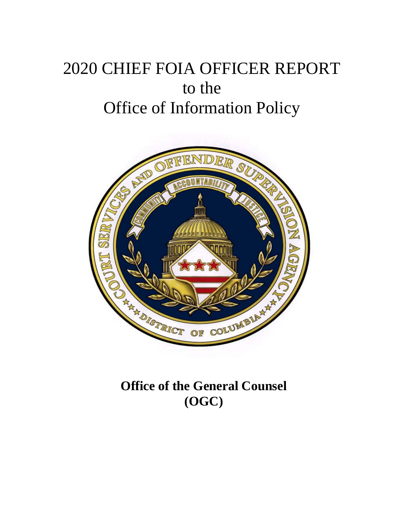# 2020 CHIEF FOIA OFFICER REPORT to the Office of Information Policy



**Office of the General Counsel (OGC)**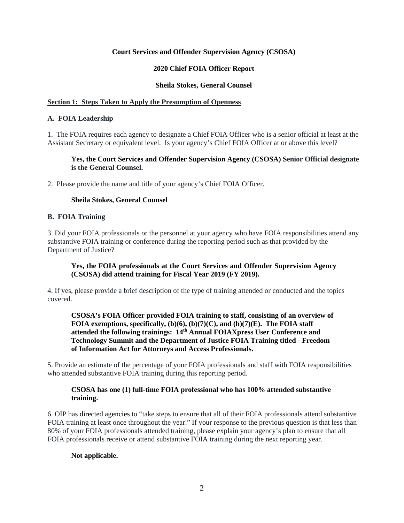# **Court Services and Offender Supervision Agency (CSOSA)**

# **2020 Chief FOIA Officer Report**

# **Sheila Stokes, General Counsel**

# **Section 1: Steps Taken to Apply the Presumption of Openness**

# **A. FOIA Leadership**

1. The FOIA requires each agency to designate a Chief FOIA Officer who is a senior official at least at the Assistant Secretary or equivalent level. Is your agency's Chief FOIA Officer at or above this level?

# **Yes, the Court Services and Offender Supervision Agency (CSOSA) Senior Official designate is the General Counsel.**

2. Please provide the name and title of your agency's Chief FOIA Officer.

# **Sheila Stokes, General Counsel**

# **B. FOIA Training**

3. Did your FOIA professionals or the personnel at your agency who have FOIA responsibilities attend any substantive FOIA training or conference during the reporting period such as that provided by the Department of Justice?

# **Yes, the FOIA professionals at the Court Services and Offender Supervision Agency (CSOSA) did attend training for Fiscal Year 2019 (FY 2019).**

4. If yes, please provide a brief description of the type of training attended or conducted and the topics covered.

# **CSOSA's FOIA Officer provided FOIA training to staff, consisting of an overview of FOIA exemptions, specifically, (b)(6), (b)(7)(C), and (b)(7)(E). The FOIA staff attended the following trainings: 14th Annual FOIAXpress User Conference and Technology Summit and the Department of Justice FOIA Training titled - Freedom of Information Act for Attorneys and Access Professionals.**

5. Provide an estimate of the percentage of your FOIA professionals and staff with FOIA responsibilities who attended substantive FOIA training during this reporting period.

# **CSOSA has one (1) full-time FOIA professional who has 100% attended substantive training.**

6. OIP has directed agencies to "take steps to ensure that all of their FOIA professionals attend substantive FOIA training at least once throughout the year." If your response to the previous question is that less than 80% of your FOIA professionals attended training, please explain your agency's plan to ensure that all FOIA professionals receive or attend substantive FOIA training during the next reporting year.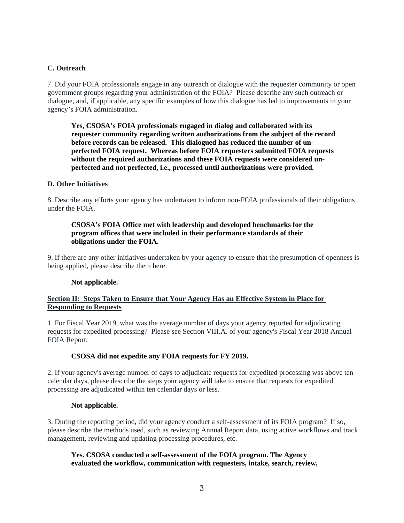## **C. Outreach**

7. Did your FOIA professionals engage in any outreach or dialogue with the requester community or open government groups regarding your administration of the FOIA? Please describe any such outreach or dialogue, and, if applicable, any specific examples of how this dialogue has led to improvements in your agency's FOIA administration.

**Yes, CSOSA's FOIA professionals engaged in dialog and collaborated with its requester community regarding written authorizations from the subject of the record before records can be released. This dialogued has reduced the number of unperfected FOIA request. Whereas before FOIA requesters submitted FOIA requests without the required authorizations and these FOIA requests were considered unperfected and not perfected, i.e., processed until authorizations were provided.** 

#### **D. Other Initiatives**

8. Describe any efforts your agency has undertaken to inform non-FOIA professionals of their obligations under the FOIA.

# **CSOSA's FOIA Office met with leadership and developed benchmarks for the program offices that were included in their performance standards of their obligations under the FOIA.**

9. If there are any other initiatives undertaken by your agency to ensure that the presumption of openness is being applied, please describe them here.

#### **Not applicable.**

# **Section II: Steps Taken to Ensure that Your Agency Has an Effective System in Place for Responding to Requests**

1. For Fiscal Year 2019, what was the average number of days your agency reported for adjudicating requests for expedited processing? Please see Section VIII.A. of your agency's Fiscal Year 2018 Annual FOIA Report.

# **CSOSA did not expedite any FOIA requests for FY 2019.**

2. If your agency's average number of days to adjudicate requests for expedited processing was above ten calendar days, please describe the steps your agency will take to ensure that requests for expedited processing are adjudicated within ten calendar days or less.

#### **Not applicable.**

3. During the reporting period, did your agency conduct a self-assessment of its FOIA program? If so, please describe the methods used, such as reviewing Annual Report data, using active workflows and track management, reviewing and updating processing procedures, etc.

# **Yes. CSOSA conducted a self-assessment of the FOIA program. The Agency evaluated the workflow, communication with requesters, intake, search, review,**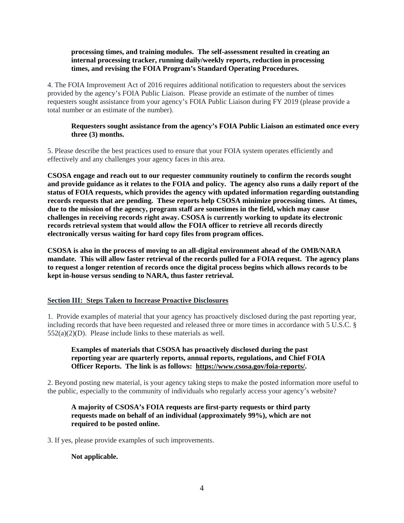## **processing times, and training modules. The self-assessment resulted in creating an internal processing tracker, running daily/weekly reports, reduction in processing times, and revising the FOIA Program's Standard Operating Procedures.**

4. The FOIA Improvement Act of 2016 requires additional notification to requesters about the services provided by the agency's FOIA Public Liaison. Please provide an estimate of the number of times requesters sought assistance from your agency's FOIA Public Liaison during FY 2019 (please provide a total number or an estimate of the number).

# **Requesters sought assistance from the agency's FOIA Public Liaison an estimated once every three (3) months.**

5. Please describe the best practices used to ensure that your FOIA system operates efficiently and effectively and any challenges your agency faces in this area.

**CSOSA engage and reach out to our requester community routinely to confirm the records sought and provide guidance as it relates to the FOIA and policy. The agency also runs a daily report of the status of FOIA requests, which provides the agency with updated information regarding outstanding records requests that are pending. These reports help CSOSA minimize processing times. At times, due to the mission of the agency, program staff are sometimes in the field, which may cause challenges in receiving records right away. CSOSA is currently working to update its electronic records retrieval system that would allow the FOIA officer to retrieve all records directly electronically versus waiting for hard copy files from program offices.** 

**CSOSA is also in the process of moving to an all-digital environment ahead of the OMB/NARA mandate. This will allow faster retrieval of the records pulled for a FOIA request. The agency plans to request a longer retention of records once the digital process begins which allows records to be kept in-house versus sending to NARA, thus faster retrieval.** 

# **Section III: Steps Taken to Increase Proactive Disclosures**

1. Provide examples of material that your agency has proactively disclosed during the past reporting year, including records that have been requested and released three or more times in accordance with 5 U.S.C. § 552(a)(2)(D). Please include links to these materials as well.

## **Examples of materials that CSOSA has proactively disclosed during the past reporting year are quarterly reports, annual reports, regulations, and Chief FOIA Officer Reports. The link is as follows: https://www.csosa.gov/foia-reports/.**

2. Beyond posting new material, is your agency taking steps to make the posted information more useful to the public, especially to the community of individuals who regularly access your agency's website?

# **A majority of CSOSA's FOIA requests are first-party requests or third party requests made on behalf of an individual (approximately 99%), which are not required to be posted online.**

3. If yes, please provide examples of such improvements.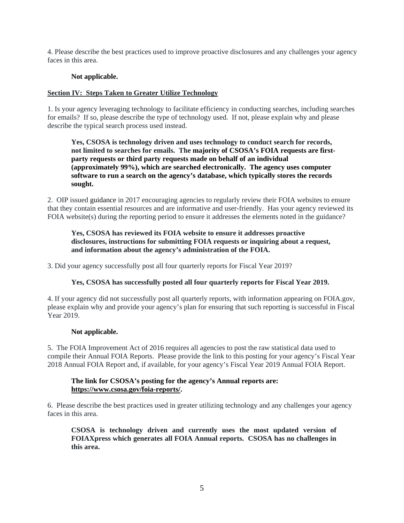4. Please describe the best practices used to improve proactive disclosures and any challenges your agency faces in this area.

# **Not applicable.**

# **Section IV: Steps Taken to Greater Utilize Technology**

1. Is your agency leveraging technology to facilitate efficiency in conducting searches, including searches for emails? If so, please describe the type of technology used. If not, please explain why and please describe the typical search process used instead.

**Yes, CSOSA is technology driven and uses technology to conduct search for records, not limited to searches for emails. The majority of CSOSA's FOIA requests are firstparty requests or third party requests made on behalf of an individual (approximately 99%), which are searched electronically. The agency uses computer software to run a search on the agency's database, which typically stores the records sought.** 

2. OIP issued guidance in 2017 encouraging agencies to regularly review their FOIA websites to ensure that they contain essential resources and are informative and user-friendly. Has your agency reviewed its FOIA website(s) during the reporting period to ensure it addresses the elements noted in the guidance?

# **Yes, CSOSA has reviewed its FOIA website to ensure it addresses proactive disclosures, instructions for submitting FOIA requests or inquiring about a request, and information about the agency's administration of the FOIA.**

3. Did your agency successfully post all four quarterly reports for Fiscal Year 2019?

# **Yes, CSOSA has successfully posted all four quarterly reports for Fiscal Year 2019.**

4. If your agency did not successfully post all quarterly reports, with information appearing on FOIA.gov, please explain why and provide your agency's plan for ensuring that such reporting is successful in Fiscal Year 2019.

#### **Not applicable.**

5. The FOIA Improvement Act of 2016 requires all agencies to post the raw statistical data used to compile their Annual FOIA Reports. Please provide the link to this posting for your agency's Fiscal Year 2018 Annual FOIA Report and, if available, for your agency's Fiscal Year 2019 Annual FOIA Report.

### **The link for CSOSA's posting for the agency's Annual reports are: https://www.csosa.gov/foia-reports/.**

6. Please describe the best practices used in greater utilizing technology and any challenges your agency faces in this area.

**CSOSA is technology driven and currently uses the most updated version of FOIAXpress which generates all FOIA Annual reports. CSOSA has no challenges in this area.**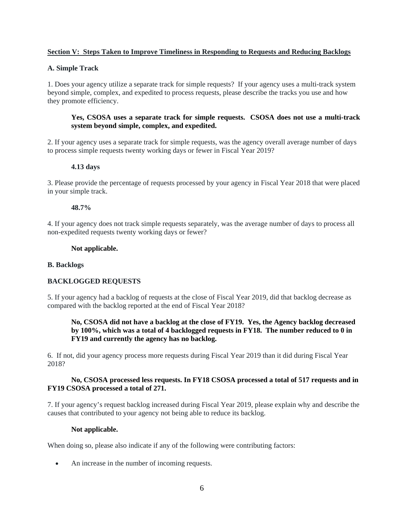## **Section V: Steps Taken to Improve Timeliness in Responding to Requests and Reducing Backlogs**

## **A. Simple Track**

1. Does your agency utilize a separate track for simple requests? If your agency uses a multi-track system beyond simple, complex, and expedited to process requests, please describe the tracks you use and how they promote efficiency.

# **Yes, CSOSA uses a separate track for simple requests. CSOSA does not use a multi-track system beyond simple, complex, and expedited.**

2. If your agency uses a separate track for simple requests, was the agency overall average number of days to process simple requests twenty working days or fewer in Fiscal Year 2019?

#### **4.13 days**

3. Please provide the percentage of requests processed by your agency in Fiscal Year 2018 that were placed in your simple track.

#### **48.7%**

4. If your agency does not track simple requests separately, was the average number of days to process all non-expedited requests twenty working days or fewer?

#### **Not applicable.**

#### **B. Backlogs**

# **BACKLOGGED REQUESTS**

5. If your agency had a backlog of requests at the close of Fiscal Year 2019, did that backlog decrease as compared with the backlog reported at the end of Fiscal Year 2018?

**No, CSOSA did not have a backlog at the close of FY19. Yes, the Agency backlog decreased by 100%, which was a total of 4 backlogged requests in FY18. The number reduced to 0 in FY19 and currently the agency has no backlog.** 

6. If not, did your agency process more requests during Fiscal Year 2019 than it did during Fiscal Year 2018?

### **No, CSOSA processed less requests. In FY18 CSOSA processed a total of 517 requests and in FY19 CSOSA processed a total of 271.**

7. If your agency's request backlog increased during Fiscal Year 2019, please explain why and describe the causes that contributed to your agency not being able to reduce its backlog.

#### **Not applicable.**

When doing so, please also indicate if any of the following were contributing factors:

An increase in the number of incoming requests.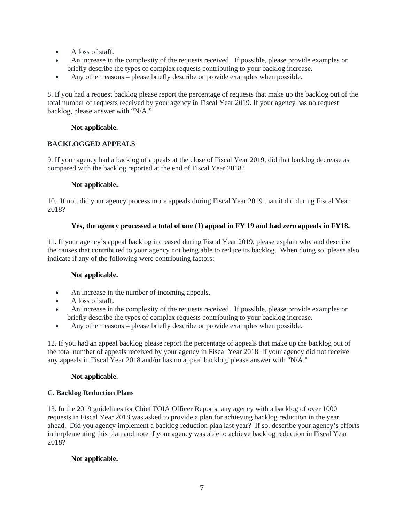- A loss of staff.
- An increase in the complexity of the requests received. If possible, please provide examples or briefly describe the types of complex requests contributing to your backlog increase.
- Any other reasons please briefly describe or provide examples when possible.

8. If you had a request backlog please report the percentage of requests that make up the backlog out of the total number of requests received by your agency in Fiscal Year 2019. If your agency has no request backlog, please answer with "N/A."

# **Not applicable.**

# **BACKLOGGED APPEALS**

9. If your agency had a backlog of appeals at the close of Fiscal Year 2019, did that backlog decrease as compared with the backlog reported at the end of Fiscal Year 2018?

# **Not applicable.**

10. If not, did your agency process more appeals during Fiscal Year 2019 than it did during Fiscal Year 2018?

# **Yes, the agency processed a total of one (1) appeal in FY 19 and had zero appeals in FY18.**

11. If your agency's appeal backlog increased during Fiscal Year 2019, please explain why and describe the causes that contributed to your agency not being able to reduce its backlog. When doing so, please also indicate if any of the following were contributing factors:

# **Not applicable.**

- An increase in the number of incoming appeals.
- A loss of staff.
- An increase in the complexity of the requests received. If possible, please provide examples or briefly describe the types of complex requests contributing to your backlog increase.
- Any other reasons please briefly describe or provide examples when possible.

12. If you had an appeal backlog please report the percentage of appeals that make up the backlog out of the total number of appeals received by your agency in Fiscal Year 2018. If your agency did not receive any appeals in Fiscal Year 2018 and/or has no appeal backlog, please answer with "N/A."

# **Not applicable.**

# **C. Backlog Reduction Plans**

13. In the 2019 guidelines for Chief FOIA Officer Reports, any agency with a backlog of over 1000 requests in Fiscal Year 2018 was asked to provide a plan for achieving backlog reduction in the year ahead. Did you agency implement a backlog reduction plan last year? If so, describe your agency's efforts in implementing this plan and note if your agency was able to achieve backlog reduction in Fiscal Year 2018?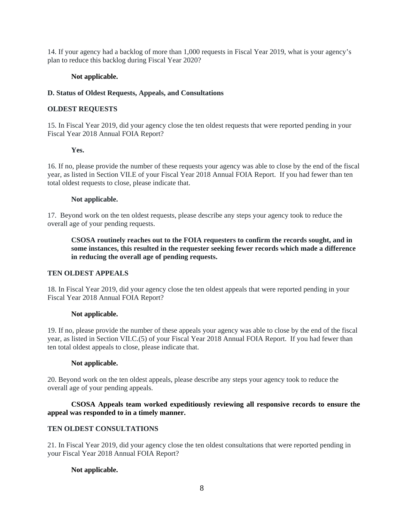14. If your agency had a backlog of more than 1,000 requests in Fiscal Year 2019, what is your agency's plan to reduce this backlog during Fiscal Year 2020?

# **Not applicable.**

#### **D. Status of Oldest Requests, Appeals, and Consultations**

## **OLDEST REQUESTS**

15. In Fiscal Year 2019, did your agency close the ten oldest requests that were reported pending in your Fiscal Year 2018 Annual FOIA Report?

#### **Yes.**

16. If no, please provide the number of these requests your agency was able to close by the end of the fiscal year, as listed in Section VII.E of your Fiscal Year 2018 Annual FOIA Report. If you had fewer than ten total oldest requests to close, please indicate that.

#### **Not applicable.**

17. Beyond work on the ten oldest requests, please describe any steps your agency took to reduce the overall age of your pending requests.

**CSOSA routinely reaches out to the FOIA requesters to confirm the records sought, and in some instances, this resulted in the requester seeking fewer records which made a difference in reducing the overall age of pending requests.** 

#### **TEN OLDEST APPEALS**

18. In Fiscal Year 2019, did your agency close the ten oldest appeals that were reported pending in your Fiscal Year 2018 Annual FOIA Report?

# **Not applicable.**

19. If no, please provide the number of these appeals your agency was able to close by the end of the fiscal year, as listed in Section VII.C.(5) of your Fiscal Year 2018 Annual FOIA Report. If you had fewer than ten total oldest appeals to close, please indicate that.

#### **Not applicable.**

20. Beyond work on the ten oldest appeals, please describe any steps your agency took to reduce the overall age of your pending appeals.

# **CSOSA Appeals team worked expeditiously reviewing all responsive records to ensure the appeal was responded to in a timely manner.**

# **TEN OLDEST CONSULTATIONS**

21. In Fiscal Year 2019, did your agency close the ten oldest consultations that were reported pending in your Fiscal Year 2018 Annual FOIA Report?